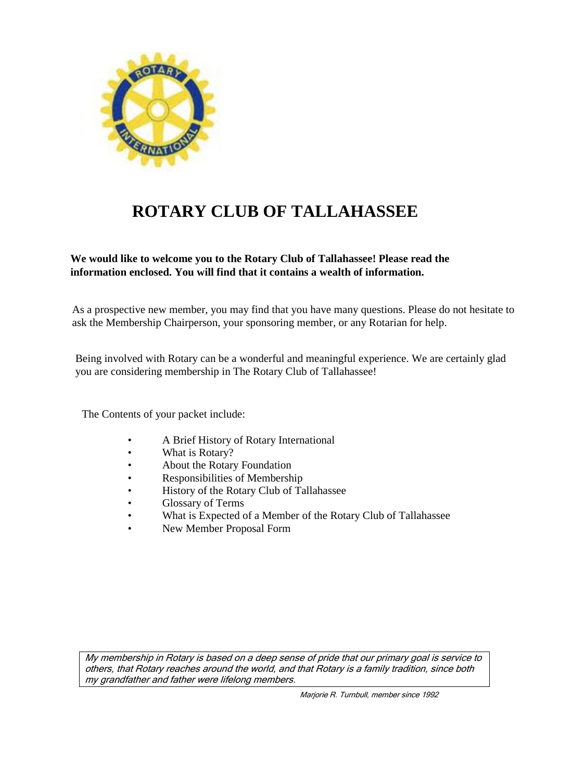

# **ROTARY CLUB OF TALLAHASSEE**

#### **We would like to welcome you to the Rotary Club of Tallahassee! Please read the information enclosed. You will find that it contains a wealth of information.**

As a prospective new member, you may find that you have many questions. Please do not hesitate to ask the Membership Chairperson, your sponsoring member, or any Rotarian for help.

Being involved with Rotary can be a wonderful and meaningful experience. We are certainly glad you are considering membership in The Rotary Club of Tallahassee!

The Contents of your packet include:

- A Brief History of Rotary International
- What is Rotary?
- About the Rotary Foundation
- Responsibilities of Membership
- History of the Rotary Club of Tallahassee
- Glossary of Terms
- What is Expected of a Member of the Rotary Club of Tallahassee
- New Member Proposal Form

My membership in Rotary is based on a deep sense of pride that our primary goal is service to others, that Rotary reaches around the world, and that Rotary is a family tradition, since both my grandfather and father were lifelong members.

Marjorie R. Turnbull, member since 1992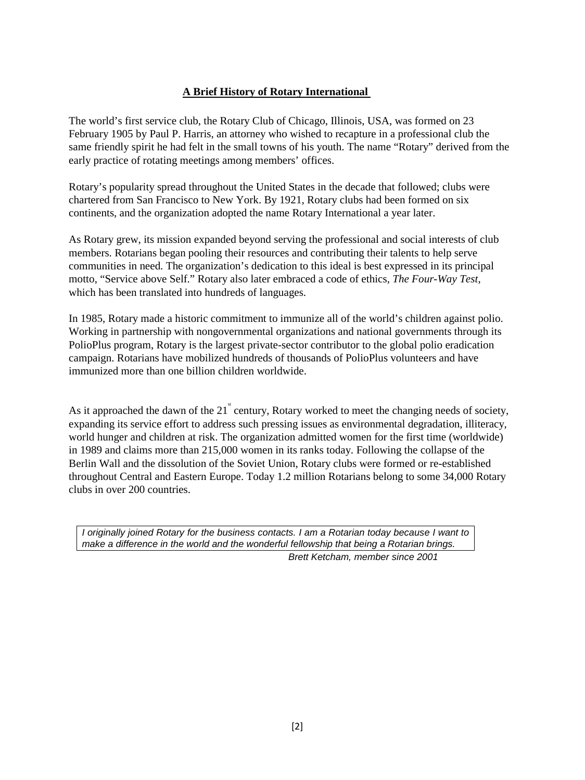# **A Brief History of Rotary International**

The world's first service club, the Rotary Club of Chicago, Illinois, USA, was formed on 23 February 1905 by Paul P. Harris, an attorney who wished to recapture in a professional club the same friendly spirit he had felt in the small towns of his youth. The name "Rotary" derived from the early practice of rotating meetings among members' offices.

Rotary's popularity spread throughout the United States in the decade that followed; clubs were chartered from San Francisco to New York. By 1921, Rotary clubs had been formed on six continents, and the organization adopted the name Rotary International a year later.

As Rotary grew, its mission expanded beyond serving the professional and social interests of club members. Rotarians began pooling their resources and contributing their talents to help serve communities in need. The organization's dedication to this ideal is best expressed in its principal motto, "Service above Self." Rotary also later embraced a code of ethics, *The Four-Way Test*, which has been translated into hundreds of languages.

In 1985, Rotary made a historic commitment to immunize all of the world's children against polio. Working in partnership with nongovernmental organizations and national governments through its PolioPlus program, Rotary is the largest private-sector contributor to the global polio eradication campaign. Rotarians have mobilized hundreds of thousands of PolioPlus volunteers and have immunized more than one billion children worldwide.

As it approached the dawn of the  $21^{\degree}$  century, Rotary worked to meet the changing needs of society, expanding its service effort to address such pressing issues as environmental degradation, illiteracy, world hunger and children at risk. The organization admitted women for the first time (worldwide) in 1989 and claims more than 215,000 women in its ranks today. Following the collapse of the Berlin Wall and the dissolution of the Soviet Union, Rotary clubs were formed or re-established throughout Central and Eastern Europe. Today 1.2 million Rotarians belong to some 34,000 Rotary clubs in over 200 countries.

*I originally joined Rotary for the business contacts. I am a Rotarian today because I want to make a difference in the world and the wonderful fellowship that being a Rotarian brings. Brett Ketcham, member since 2001*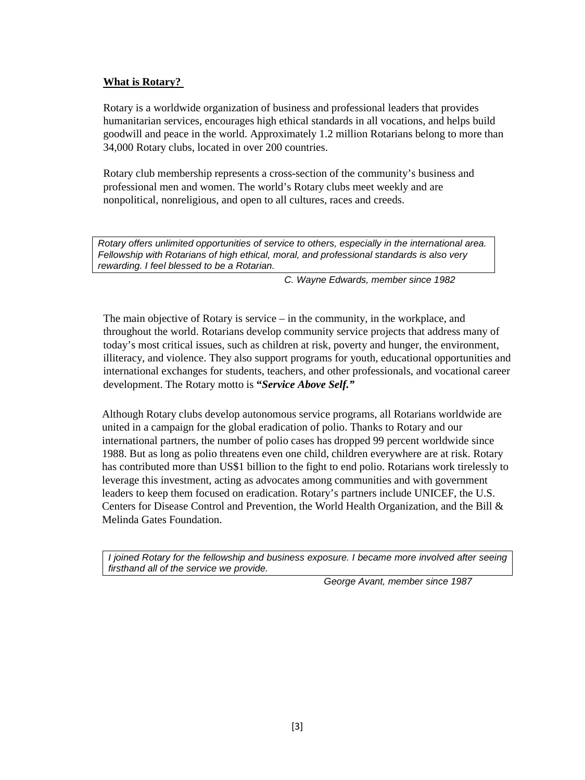#### **What is Rotary?**

Rotary is a worldwide organization of business and professional leaders that provides humanitarian services, encourages high ethical standards in all vocations, and helps build goodwill and peace in the world. Approximately 1.2 million Rotarians belong to more than 34,000 Rotary clubs, located in over 200 countries.

Rotary club membership represents a cross-section of the community's business and professional men and women. The world's Rotary clubs meet weekly and are nonpolitical, nonreligious, and open to all cultures, races and creeds.

*Rotary offers unlimited opportunities of service to others, especially in the international area. Fellowship with Rotarians of high ethical, moral, and professional standards is also very rewarding. I feel blessed to be a Rotarian.* 

*C. Wayne Edwards, member since 1982*

The main objective of Rotary is service – in the community, in the workplace, and throughout the world. Rotarians develop community service projects that address many of today's most critical issues, such as children at risk, poverty and hunger, the environment, illiteracy, and violence. They also support programs for youth, educational opportunities and international exchanges for students, teachers, and other professionals, and vocational career development. The Rotary motto is **"***Service Above Self."*

Although Rotary clubs develop autonomous service programs, all Rotarians worldwide are united in a campaign for the global eradication of polio. Thanks to Rotary and our international partners, the number of polio cases has dropped 99 percent worldwide since 1988. But as long as polio threatens even one child, children everywhere are at risk. Rotary has contributed more than US\$1 billion to the fight to end polio. Rotarians work tirelessly to leverage this investment, acting as advocates among communities and with government leaders to keep them focused on eradication. Rotary's partners include UNICEF, the U.S. Centers for Disease Control and Prevention, the World Health Organization, and the Bill & Melinda Gates Foundation.

*I joined Rotary for the fellowship and business exposure. I became more involved after seeing firsthand all of the service we provide.* 

*George Avant, member since 1987*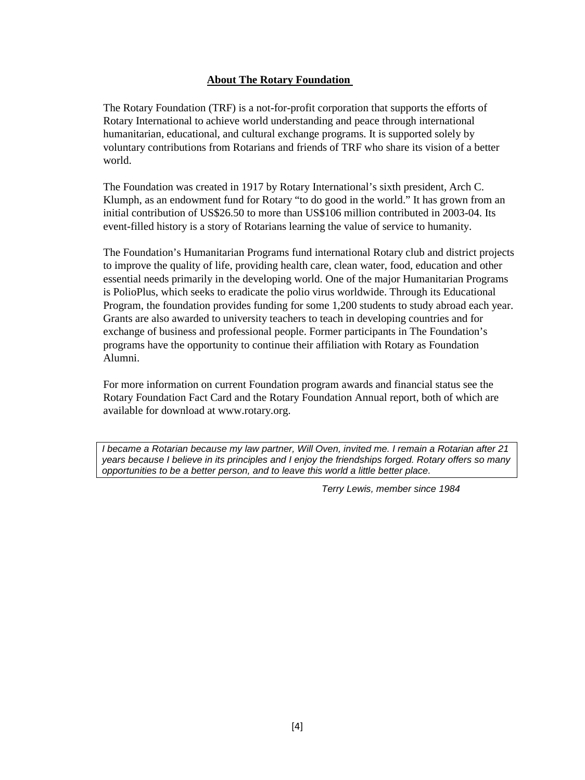#### **About The Rotary Foundation**

The Rotary Foundation (TRF) is a not-for-profit corporation that supports the efforts of Rotary International to achieve world understanding and peace through international humanitarian, educational, and cultural exchange programs. It is supported solely by voluntary contributions from Rotarians and friends of TRF who share its vision of a better world.

The Foundation was created in 1917 by Rotary International's sixth president, Arch C. Klumph, as an endowment fund for Rotary "to do good in the world." It has grown from an initial contribution of US\$26.50 to more than US\$106 million contributed in 2003-04. Its event-filled history is a story of Rotarians learning the value of service to humanity.

The Foundation's Humanitarian Programs fund international Rotary club and district projects to improve the quality of life, providing health care, clean water, food, education and other essential needs primarily in the developing world. One of the major Humanitarian Programs is PolioPlus, which seeks to eradicate the polio virus worldwide. Through its Educational Program, the foundation provides funding for some 1,200 students to study abroad each year. Grants are also awarded to university teachers to teach in developing countries and for exchange of business and professional people. Former participants in The Foundation's programs have the opportunity to continue their affiliation with Rotary as Foundation Alumni.

For more information on current Foundation program awards and financial status see the Rotary Foundation Fact Card and the Rotary Foundation Annual report, both of which are available for download at www.rotary.org.

*I became a Rotarian because my law partner, Will Oven, invited me. I remain a Rotarian after 21 years because I believe in its principles and I enjoy the friendships forged. Rotary offers so many opportunities to be a better person, and to leave this world a little better place.* 

*Terry Lewis, member since 1984*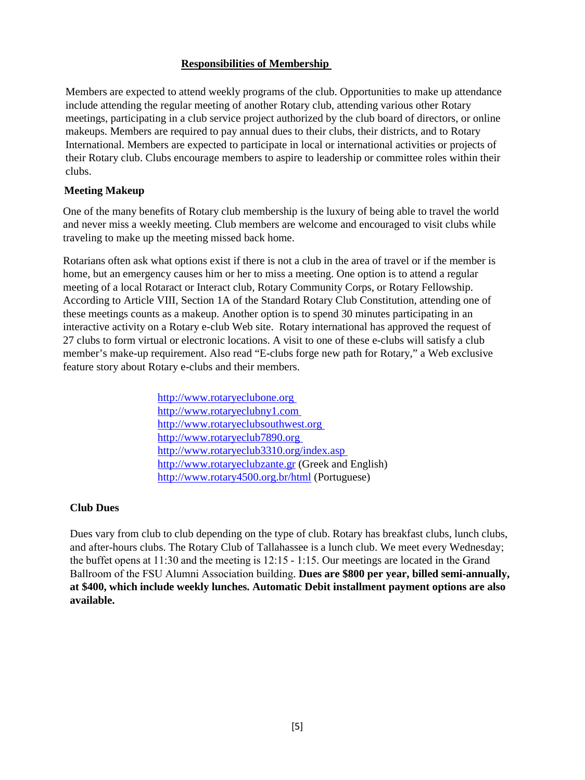### **Responsibilities of Membership**

Members are expected to attend weekly programs of the club. Opportunities to make up attendance include attending the regular meeting of another Rotary club, attending various other Rotary meetings, participating in a club service project authorized by the club board of directors, or online makeups. Members are required to pay annual dues to their clubs, their districts, and to Rotary International. Members are expected to participate in local or international activities or projects of their Rotary club. Clubs encourage members to aspire to leadership or committee roles within their clubs.

#### **Meeting Makeup**

One of the many benefits of Rotary club membership is the luxury of being able to travel the world and never miss a weekly meeting. Club members are welcome and encouraged to visit clubs while traveling to make up the meeting missed back home.

Rotarians often ask what options exist if there is not a club in the area of travel or if the member is home, but an emergency causes him or her to miss a meeting. One option is to attend a regular meeting of a local Rotaract or Interact club, Rotary Community Corps, or Rotary Fellowship. According to Article VIII, Section 1A of the Standard Rotary Club Constitution, attending one of these meetings counts as a makeup. Another option is to spend 30 minutes participating in an interactive activity on a Rotary e-club Web site. Rotary international has approved the request of 27 clubs to form virtual or electronic locations. A visit to one of these e-clubs will satisfy a club member's make-up requirement. Also read "E-clubs forge new path for Rotary," a Web exclusive feature story about Rotary e-clubs and their members.

> http://www.rotaryeclubone.org http://www.rotaryeclubny1.com http://www.rotaryeclubsouthwest.org http://www.rotaryeclub7890.org http://www.rotaryeclub3310.org/index.asp http://www.rotaryeclubzante.gr (Greek and English) http://www.rotary4500.org.br/html (Portuguese)

#### **Club Dues**

Dues vary from club to club depending on the type of club. Rotary has breakfast clubs, lunch clubs, and after-hours clubs. The Rotary Club of Tallahassee is a lunch club. We meet every Wednesday; the buffet opens at 11:30 and the meeting is 12:15 - 1:15. Our meetings are located in the Grand Ballroom of the FSU Alumni Association building. **Dues are \$800 per year, billed semi-annually, at \$400, which include weekly lunches. Automatic Debit installment payment options are also available.**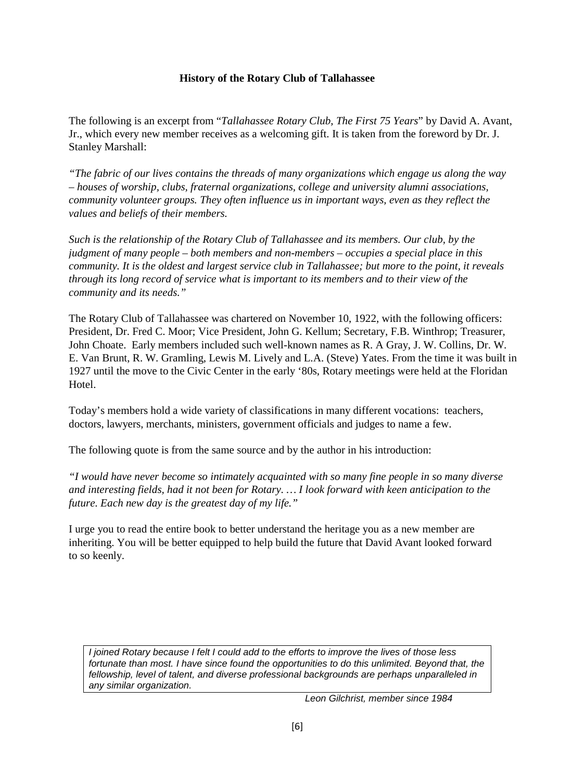#### **History of the Rotary Club of Tallahassee**

The following is an excerpt from "*Tallahassee Rotary Club, The First 75 Years*" by David A. Avant, Jr., which every new member receives as a welcoming gift. It is taken from the foreword by Dr. J. Stanley Marshall:

*"The fabric of our lives contains the threads of many organizations which engage us along the way – houses of worship, clubs, fraternal organizations, college and university alumni associations, community volunteer groups. They often influence us in important ways, even as they reflect the values and beliefs of their members.*

*Such is the relationship of the Rotary Club of Tallahassee and its members. Our club, by the judgment of many people – both members and non-members – occupies a special place in this community. It is the oldest and largest service club in Tallahassee; but more to the point, it reveals through its long record of service what is important to its members and to their view of the community and its needs."* 

The Rotary Club of Tallahassee was chartered on November 10, 1922, with the following officers: President, Dr. Fred C. Moor; Vice President, John G. Kellum; Secretary, F.B. Winthrop; Treasurer, John Choate. Early members included such well-known names as R. A Gray, J. W. Collins, Dr. W. E. Van Brunt, R. W. Gramling, Lewis M. Lively and L.A. (Steve) Yates. From the time it was built in 1927 until the move to the Civic Center in the early '80s, Rotary meetings were held at the Floridan Hotel.

Today's members hold a wide variety of classifications in many different vocations: teachers, doctors, lawyers, merchants, ministers, government officials and judges to name a few.

The following quote is from the same source and by the author in his introduction:

*"I would have never become so intimately acquainted with so many fine people in so many diverse and interesting fields, had it not been for Rotary. … I look forward with keen anticipation to the future. Each new day is the greatest day of my life."*

I urge you to read the entire book to better understand the heritage you as a new member are inheriting. You will be better equipped to help build the future that David Avant looked forward to so keenly.

*I joined Rotary because I felt I could add to the efforts to improve the lives of those less*  fortunate than most. I have since found the opportunities to do this unlimited. Beyond that, the *fellowship, level of talent, and diverse professional backgrounds are perhaps unparalleled in any similar organization.* 

*Leon Gilchrist, member since 1984*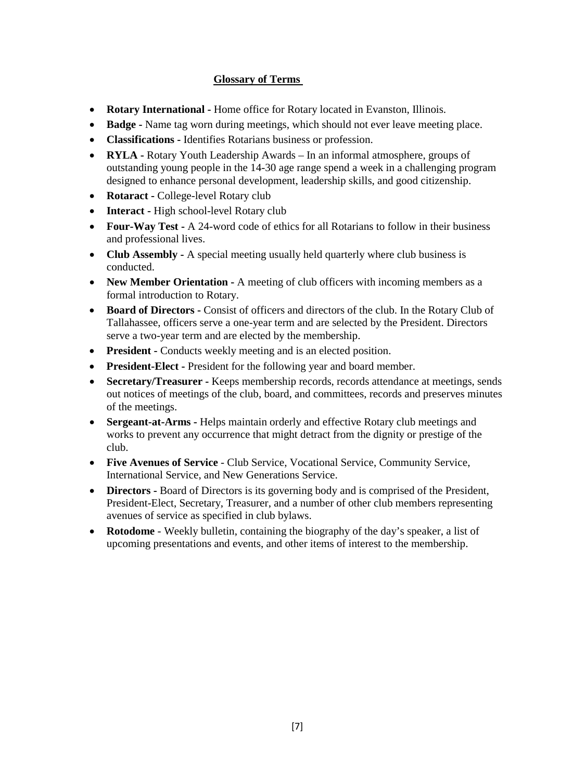# **Glossary of Terms**

- **Rotary International -** Home office for Rotary located in Evanston, Illinois.
- **Badge -** Name tag worn during meetings, which should not ever leave meeting place.
- **Classifications** Identifies Rotarians business or profession.
- **RYLA -** Rotary Youth Leadership Awards In an informal atmosphere, groups of outstanding young people in the 14-30 age range spend a week in a challenging program designed to enhance personal development, leadership skills, and good citizenship.
- **Rotaract -** College-level Rotary club
- **Interact -** High school-level Rotary club
- **Four-Way Test** A 24-word code of ethics for all Rotarians to follow in their business and professional lives.
- **Club Assembly -** A special meeting usually held quarterly where club business is conducted.
- **New Member Orientation -** A meeting of club officers with incoming members as a formal introduction to Rotary.
- **Board of Directors -** Consist of officers and directors of the club. In the Rotary Club of Tallahassee, officers serve a one-year term and are selected by the President. Directors serve a two-year term and are elected by the membership.
- **President -** Conducts weekly meeting and is an elected position.
- **President-Elect -** President for the following year and board member.
- **Secretary/Treasurer** Keeps membership records, records attendance at meetings, sends out notices of meetings of the club, board, and committees, records and preserves minutes of the meetings.
- **Sergeant-at-Arms Helps maintain orderly and effective Rotary club meetings and** works to prevent any occurrence that might detract from the dignity or prestige of the club.
- **Five Avenues of Service** Club Service, Vocational Service, Community Service, International Service, and New Generations Service.
- **Directors** Board of Directors is its governing body and is comprised of the President, President-Elect, Secretary, Treasurer, and a number of other club members representing avenues of service as specified in club bylaws.
- **Rotodome** Weekly bulletin, containing the biography of the day's speaker, a list of upcoming presentations and events, and other items of interest to the membership.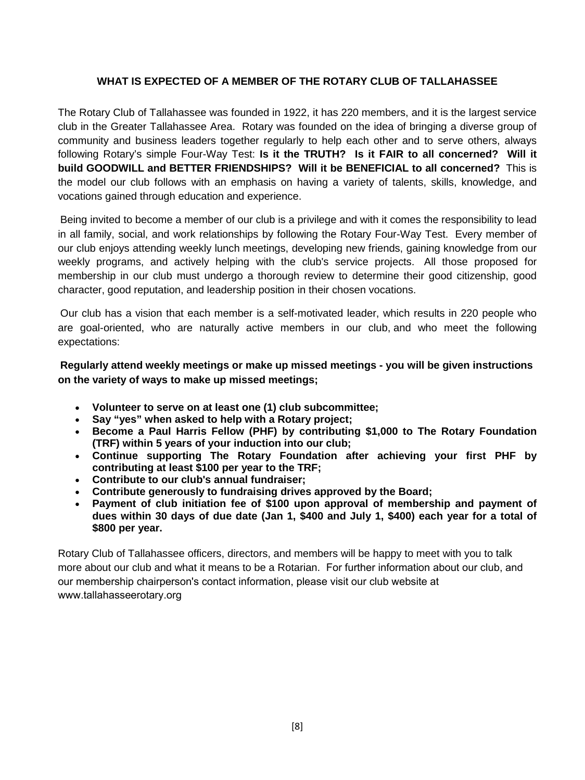#### **WHAT IS EXPECTED OF A MEMBER OF THE ROTARY CLUB OF TALLAHASSEE**

The Rotary Club of Tallahassee was founded in 1922, it has 220 members, and it is the largest service club in the Greater Tallahassee Area. Rotary was founded on the idea of bringing a diverse group of community and business leaders together regularly to help each other and to serve others, always following Rotary's simple Four-Way Test: **Is it the TRUTH? Is it FAIR to all concerned? Will it build GOODWILL and BETTER FRIENDSHIPS? Will it be BENEFICIAL to all concerned?** This is the model our club follows with an emphasis on having a variety of talents, skills, knowledge, and vocations gained through education and experience.

Being invited to become a member of our club is a privilege and with it comes the responsibility to lead in all family, social, and work relationships by following the Rotary Four-Way Test. Every member of our club enjoys attending weekly lunch meetings, developing new friends, gaining knowledge from our weekly programs, and actively helping with the club's service projects. All those proposed for membership in our club must undergo a thorough review to determine their good citizenship, good character, good reputation, and leadership position in their chosen vocations.

Our club has a vision that each member is a self-motivated leader, which results in 220 people who are goal-oriented, who are naturally active members in our club, and who meet the following expectations:

**Regularly attend weekly meetings or make up missed meetings - you will be given instructions on the variety of ways to make up missed meetings;**

- **Volunteer to serve on at least one (1) club subcommittee;**
- **Say "yes" when asked to help with a Rotary project;**
- **Become a Paul Harris Fellow (PHF) by contributing \$1,000 to The Rotary Foundation (TRF) within 5 years of your induction into our club;**
- **Continue supporting The Rotary Foundation after achieving your first PHF by contributing at least \$100 per year to the TRF;**
- **Contribute to our club's annual fundraiser;**
- **Contribute generously to fundraising drives approved by the Board;**
- **Payment of club initiation fee of \$100 upon approval of membership and payment of dues within 30 days of due date (Jan 1, \$400 and July 1, \$400) each year for a total of \$800 per year.**

Rotary Club of Tallahassee officers, directors, and members will be happy to meet with you to talk more about our club and what it means to be a Rotarian. For further information about our club, and our membership chairperson's contact information, please visit our club website at [www.tallahasseerotary.org](http://www.tallahasseerotary.org/rotary/RenderPage.asp?pageid=5047)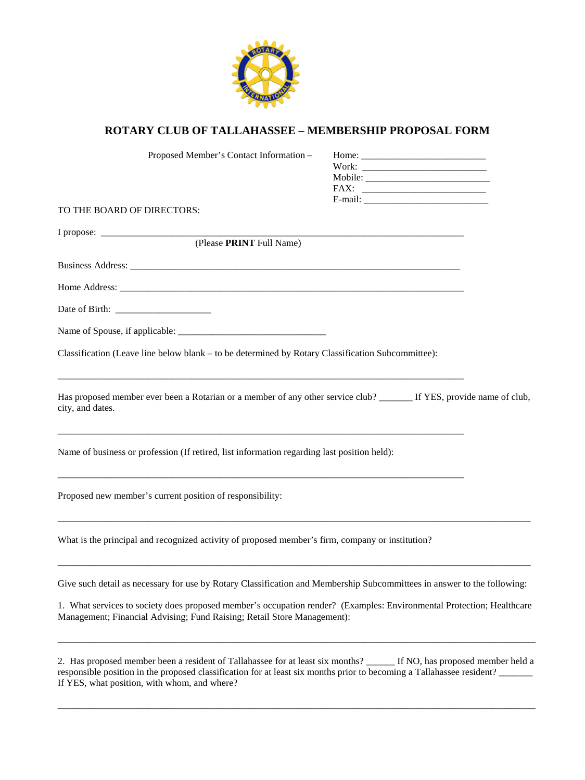

## **ROTARY CLUB OF TALLAHASSEE – MEMBERSHIP PROPOSAL FORM**

| Proposed Member's Contact Information -                                                                                                                                                          |  |
|--------------------------------------------------------------------------------------------------------------------------------------------------------------------------------------------------|--|
|                                                                                                                                                                                                  |  |
|                                                                                                                                                                                                  |  |
| TO THE BOARD OF DIRECTORS:                                                                                                                                                                       |  |
|                                                                                                                                                                                                  |  |
| (Please PRINT Full Name)                                                                                                                                                                         |  |
|                                                                                                                                                                                                  |  |
|                                                                                                                                                                                                  |  |
|                                                                                                                                                                                                  |  |
|                                                                                                                                                                                                  |  |
| Classification (Leave line below blank – to be determined by Rotary Classification Subcommittee):                                                                                                |  |
| Has proposed member ever been a Rotarian or a member of any other service club? _______ If YES, provide name of club,<br>city, and dates.                                                        |  |
| Name of business or profession (If retired, list information regarding last position held):                                                                                                      |  |
| Proposed new member's current position of responsibility:                                                                                                                                        |  |
| What is the principal and recognized activity of proposed member's firm, company or institution?                                                                                                 |  |
| Give such detail as necessary for use by Rotary Classification and Membership Subcommittees in answer to the following:                                                                          |  |
| 1. What services to society does proposed member's occupation render? (Examples: Environmental Protection; Healthcare<br>Management; Financial Advising; Fund Raising; Retail Store Management): |  |
|                                                                                                                                                                                                  |  |

2. Has proposed member been a resident of Tallahassee for at least six months? \_\_\_\_\_\_ If NO, has proposed member held a responsible position in the proposed classification for at least six months prior to becoming a Tallahassee resident? \_\_\_\_\_\_\_ If YES, what position, with whom, and where?

\_\_\_\_\_\_\_\_\_\_\_\_\_\_\_\_\_\_\_\_\_\_\_\_\_\_\_\_\_\_\_\_\_\_\_\_\_\_\_\_\_\_\_\_\_\_\_\_\_\_\_\_\_\_\_\_\_\_\_\_\_\_\_\_\_\_\_\_\_\_\_\_\_\_\_\_\_\_\_\_\_\_\_\_\_\_\_\_\_\_\_\_\_\_\_\_\_\_\_\_